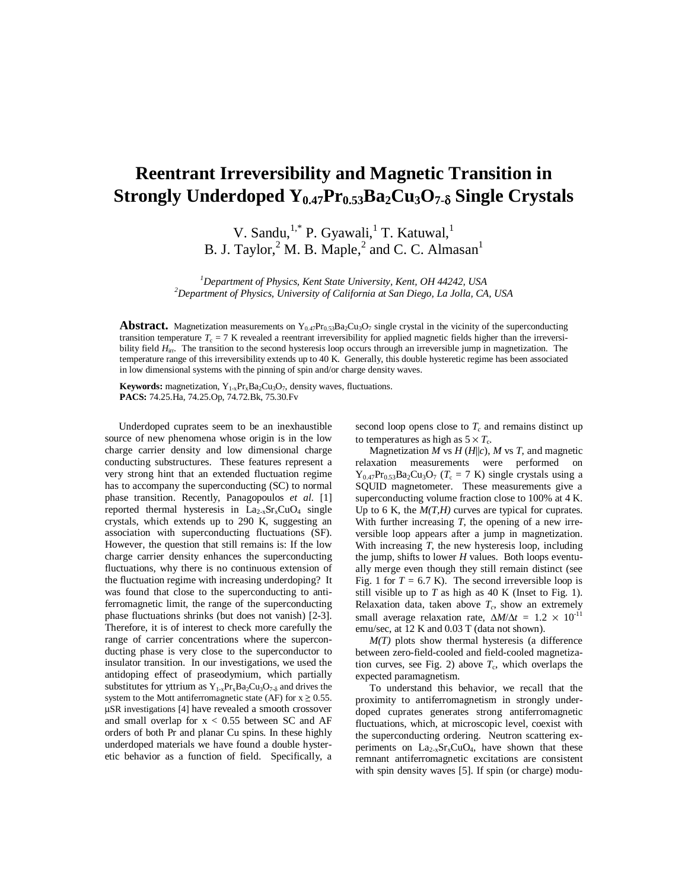## **Reentrant Irreversibility and Magnetic Transition in Strongly Underdoped Y0.47Pr0.53Ba2Cu3O7-**<sup>δ</sup> **Single Crystals**

V. Sandu,<sup>1,\*</sup> P. Gyawali,<sup>1</sup> T. Katuwal,<sup>1</sup> B. J. Taylor,  $2^2$  M. B. Maple,  $2^2$  and C. C. Almasan<sup>1</sup>

<sup>1</sup>Department of Physics, Kent State University, Kent, OH 44242, USA<br><sup>2</sup>Department of Physics, University of California at San Diago, La Jolla, CA *Department of Physics, University of California at San Diego, La Jolla, CA, USA*

**Abstract.** Magnetization measurements on  $Y_{0.47}Pr_{0.53}Ba_2Cu_3O_7$  single crystal in the vicinity of the superconducting transition temperature  $T_c = 7$  K revealed a reentrant irreversibility for applied magnetic fields higher than the irreversibility field *H*<sub>irr</sub>. The transition to the second hysteresis loop occurs through an irreversible jump in magnetization. The temperature range of this irreversibility extends up to 40 K. Generally, this double hysteretic regime has been associated in low dimensional systems with the pinning of spin and/or charge density waves.

**Keywords:** magnetization,  $Y_{1-x}Pr_xBa_2Cu_3O_7$ , density waves, fluctuations. **PACS:** 74.25.Ha, 74.25.Op, 74.72.Bk, 75.30.Fv

Underdoped cuprates seem to be an inexhaustible source of new phenomena whose origin is in the low charge carrier density and low dimensional charge conducting substructures. These features represent a very strong hint that an extended fluctuation regime has to accompany the superconducting (SC) to normal phase transition. Recently, Panagopoulos *et al.* [1] reported thermal hysteresis in  $La_{2-x}Sr_xCuO_4$  single crystals, which extends up to 290 K, suggesting an association with superconducting fluctuations (SF). However, the question that still remains is: If the low charge carrier density enhances the superconducting fluctuations, why there is no continuous extension of the fluctuation regime with increasing underdoping? It was found that close to the superconducting to antiferromagnetic limit, the range of the superconducting phase fluctuations shrinks (but does not vanish) [2-3]. Therefore, it is of interest to check more carefully the range of carrier concentrations where the superconducting phase is very close to the superconductor to insulator transition. In our investigations, we used the antidoping effect of praseodymium, which partially substitutes for yttrium as  $Y_{1-x}Pr_xBa_2Cu_3O_{7-\delta}$  and drives the system to the Mott antiferromagnetic state (AF) for  $x \ge 0.55$ . µSR investigations [4] have revealed a smooth crossover and small overlap for  $x < 0.55$  between SC and AF orders of both Pr and planar Cu spins. In these highly underdoped materials we have found a double hysteretic behavior as a function of field. Specifically, a

second loop opens close to  $T_c$  and remains distinct up to temperatures as high as  $5 \times T_c$ .

Magnetization *M* vs  $H(H||c)$ ,  $M$  vs  $T$ , and magnetic relaxation measurements were performed on were performed on  $Y_{0.47}Pr_{0.53}Ba_2Cu_3O_7$  ( $T_c = 7$  K) single crystals using a SQUID magnetometer. These measurements give a superconducting volume fraction close to 100% at 4 K. Up to 6 K, the  $M(T,H)$  curves are typical for cuprates. With further increasing *T*, the opening of a new irreversible loop appears after a jump in magnetization. With increasing *T*, the new hysteresis loop, including the jump, shifts to lower *H* values. Both loops eventually merge even though they still remain distinct (see Fig. 1 for  $T = 6.7$  K). The second irreversible loop is still visible up to  $T$  as high as  $40$  K (Inset to Fig. 1). Relaxation data, taken above  $T_c$ , show an extremely small average relaxation rate,  $\Delta M/\Delta t = 1.2 \times 10^{-11}$ emu/sec, at 12 K and 0.03 T (data not shown).

*M(T)* plots show thermal hysteresis (a difference between zero-field-cooled and field-cooled magnetization curves, see Fig. 2) above  $T_c$ , which overlaps the expected paramagnetism.

To understand this behavior, we recall that the proximity to antiferromagnetism in strongly underdoped cuprates generates strong antiferromagnetic fluctuations, which, at microscopic level, coexist with the superconducting ordering. Neutron scattering experiments on  $La_{2-x}Sr_xCuO_4$ , have shown that these remnant antiferromagnetic excitations are consistent with spin density waves [5]. If spin (or charge) modu